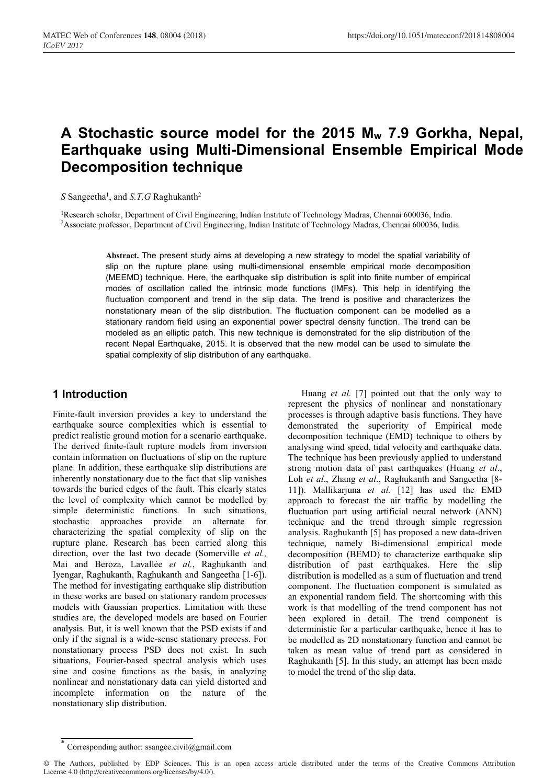# **A Stochastic source model for the 2015 Mw 7.9 Gorkha, Nepal, Earthquake using Multi-Dimensional Ensemble Empirical Mode Decomposition technique**

S Sangeetha<sup>1</sup>, and *S.T.G* Raghukanth<sup>2</sup>

<sup>1</sup>Research scholar, Department of Civil Engineering, Indian Institute of Technology Madras, Chennai 600036, India.<br><sup>2</sup>Associate professor, Department of Civil Engineering, Indian Institute of Technology Madras, Chennai 60

**Abstract.** The present study aims at developing a new strategy to model the spatial variability of slip on the rupture plane using multi-dimensional ensemble empirical mode decomposition (MEEMD) technique. Here, the earthquake slip distribution is split into finite number of empirical modes of oscillation called the intrinsic mode functions (IMFs). This help in identifying the fluctuation component and trend in the slip data. The trend is positive and characterizes the nonstationary mean of the slip distribution. The fluctuation component can be modelled as a stationary random field using an exponential power spectral density function. The trend can be modeled as an elliptic patch. This new technique is demonstrated for the slip distribution of the recent Nepal Earthquake, 2015. It is observed that the new model can be used to simulate the spatial complexity of slip distribution of any earthquake.

# **1 Introduction**

Finite-fault inversion provides a key to understand the earthquake source complexities which is essential to predict realistic ground motion for a scenario earthquake. The derived finite-fault rupture models from inversion contain information on fluctuations of slip on the rupture plane. In addition, these earthquake slip distributions are inherently nonstationary due to the fact that slip vanishes towards the buried edges of the fault. This clearly states the level of complexity which cannot be modelled by simple deterministic functions. In such situations, stochastic approaches provide an alternate for characterizing the spatial complexity of slip on the rupture plane. Research has been carried along this direction, over the last two decade (Somerville *et al.,* Mai and Beroza, Lavallée *et al.*, Raghukanth and Iyengar, Raghukanth, Raghukanth and Sangeetha [1-6]). The method for investigating earthquake slip distribution in these works are based on stationary random processes models with Gaussian properties. Limitation with these studies are, the developed models are based on Fourier analysis. But, it is well known that the PSD exists if and only if the signal is a wide-sense stationary process. For nonstationary process PSD does not exist. In such situations, Fourier-based spectral analysis which uses sine and cosine functions as the basis, in analyzing nonlinear and nonstationary data can yield distorted and incomplete information on the nature of the nonstationary slip distribution.

Huang et al. [7] pointed out that the only way to represent the physics of nonlinear and nonstationary processes is through adaptive basis functions. They have demonstrated the superiority of Empirical mode decomposition technique (EMD) technique to others by analysing wind speed, tidal velocity and earthquake data. The technique has been previously applied to understand strong motion data of past earthquakes (Huang et al., Loh et al., Zhang et al., Raghukanth and Sangeetha [8-11]). Mallikarjuna et al. [12] has used the EMD approach to forecast the air traffic by modelling the fluctuation part using artificial neural network (ANN) technique and the trend through simple regression analysis. Raghukanth [5] has proposed a new data-driven technique, namely Bi-dimensional empirical mode decomposition (BEMD) to characterize earthquake slip distribution of past earthquakes. Here the slip distribution is modelled as a sum of fluctuation and trend component. The fluctuation component is simulated as an exponential random field. The shortcoming with this work is that modelling of the trend component has not been explored in detail. The trend component is deterministic for a particular earthquake, hence it has to be modelled as 2D nonstationary function and cannot be taken as mean value of trend part as considered in Raghukanth [5]. In this study, an attempt has been made to model the trend of the slip data.

Corresponding author: ssangee.civil@gmail.com

<sup>©</sup> The Authors, published by EDP Sciences. This is an open access article distributed under the terms of the Creative Commons Attribution License 4.0 (http://creativecommons.org/licenses/by/4.0/).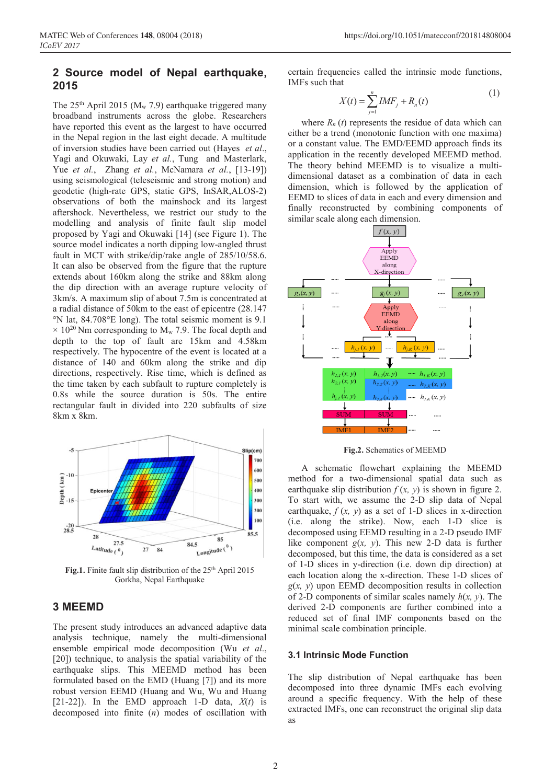## **2 Source model of Nepal earthquake, 2015**

The  $25<sup>th</sup>$  April 2015 (M<sub>w</sub> 7.9) earthquake triggered many broadband instruments across the globe. Researchers have reported this event as the largest to have occurred in the Nepal region in the last eight decade. A multitude of inversion studies have been carried out (Hayes *et al*., Yagi and Okuwaki, Lay *et al.*, Tung and Masterlark, Yue *et al.*, Zhang *et al.*, McNamara *et al.*, [13-19]) using seismological (teleseismic and strong motion) and geodetic (high-rate GPS, static GPS, InSAR,ALOS-2) observations of both the mainshock and its largest aftershock. Nevertheless, we restrict our study to the modelling and analysis of finite fault slip model proposed by Yagi and Okuwaki [14] (see Figure 1). The source model indicates a north dipping low-angled thrust fault in MCT with strike/dip/rake angle of 285/10/58.6. It can also be observed from the figure that the rupture extends about 160km along the strike and 88km along the dip direction with an average rupture velocity of 3km/s. A maximum slip of about 7.5m is concentrated at a radial distance of 50km to the east of epicentre (28.147 °N lat, 84.708°E long). The total seismic moment is 9.1  $\times$  10<sup>20</sup> Nm corresponding to M<sub>w</sub> 7.9. The focal depth and depth to the top of fault are 15km and 4.58km respectively. The hypocentre of the event is located at a distance of 140 and 60km along the strike and dip directions, respectively. Rise time, which is defined as the time taken by each subfault to rupture completely is 0.8s while the source duration is 50s. The entire rectangular fault in divided into 220 subfaults of size 8km x 8km.



Fig.1. Finite fault slip distribution of the 25<sup>th</sup> April 2015 Gorkha, Nepal Earthquake

## **3 MEEMD**

The present study introduces an advanced adaptive data analysis technique, namely the multi-dimensional ensemble empirical mode decomposition (Wu et al., [20]) technique, to analysis the spatial variability of the earthquake slips. This MEEMD method has been formulated based on the EMD (Huang [7]) and its more robust version EEMD (Huang and Wu, Wu and Huang [21-22]). In the EMD approach 1-D data,  $X(t)$  is decomposed into finite (n) modes of oscillation with certain frequencies called the intrinsic mode functions, IMFs such that

$$
X(t) = \sum_{j=1}^{n} IMF_j + R_n(t)
$$
 (1)

where  $R_n(t)$  represents the residue of data which can either be a trend (monotonic function with one maxima) or a constant value. The EMD/EEMD approach finds its application in the recently developed MEEMD method. The theory behind MEEMD is to visualize a multidimensional dataset as a combination of data in each dimension, which is followed by the application of EEMD to slices of data in each and every dimension and finally reconstructed by combining components of similar scale along each dimension.



**Fig.2.** Schematics of MEEMD

A schematic flowchart explaining the MEEMD method for a two-dimensional spatial data such as earthquake slip distribution  $f(x, y)$  is shown in figure 2. To start with, we assume the 2-D slip data of Nepal earthquake,  $f(x, y)$  as a set of 1-D slices in x-direction (i.e. along the strike). Now, each 1-D slice is decomposed using EEMD resulting in a 2-D pseudo IMF like component  $g(x, y)$ . This new 2-D data is further decomposed, but this time, the data is considered as a set of 1-D slices in y-direction (i.e. down dip direction) at each location along the x-direction. These 1-D slices of  $g(x, y)$  upon EEMD decomposition results in collection of 2-D components of similar scales namely  $h(x, y)$ . The derived 2-D components are further combined into a reduced set of final IMF components based on the minimal scale combination principle.

#### **3.1 Intrinsic Mode Function**

The slip distribution of Nepal earthquake has been decomposed into three dynamic IMFs each evolving around a specific frequency. With the help of these extracted IMFs, one can reconstruct the original slip data as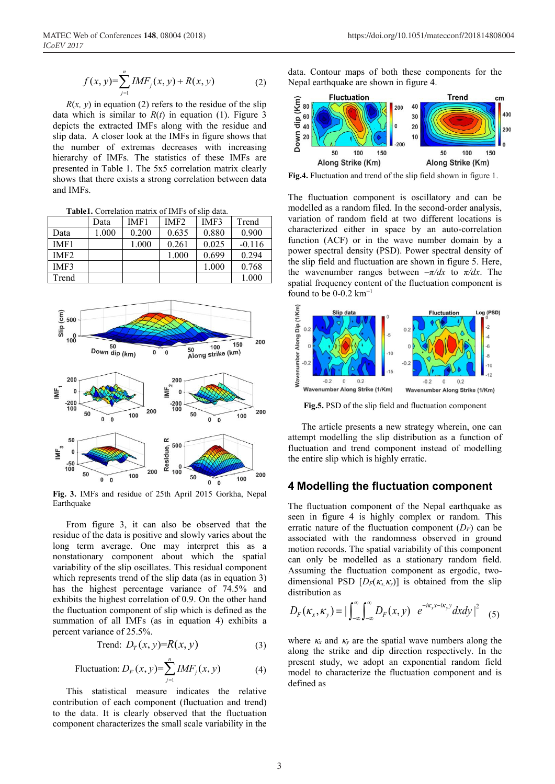$$
f(x, y) = \sum_{j=1}^{n} IMF_j(x, y) + R(x, y)
$$
 (2)

 $R(x, y)$  in equation (2) refers to the residue of the slip data which is similar to  $R(t)$  in equation (1). Figure 3 depicts the extracted IMFs along with the residue and slip data. A closer look at the IMFs in figure shows that the number of extremas decreases with increasing hierarchy of IMFs. The statistics of these IMFs are presented in Table 1. The 5x5 correlation matrix clearly shows that there exists a strong correlation between data and IMFs.

Table1. Correlation matrix of IMFs of slip data.

|                  | Data  | IMF1  | IMF <sub>2</sub> | IMF3  | Trend    |
|------------------|-------|-------|------------------|-------|----------|
| Data             | 1.000 | 0.200 | 0.635            | 0.880 | 0.900    |
| IMF1             |       | 1.000 | 0.261            | 0.025 | $-0.116$ |
| IMF <sub>2</sub> |       |       | 1.000            | 0.699 | 0.294    |
| IMF3             |       |       |                  | 1.000 | 0.768    |
| Trend            |       |       |                  |       | 1.000    |



**Fig. 3.** IMFs and residue of 25th April 2015 Gorkha, Nepal Earthquake

From figure 3, it can also be observed that the residue of the data is positive and slowly varies about the long term average. One may interpret this as a nonstationary component about which the spatial variability of the slip oscillates. This residual component which represents trend of the slip data (as in equation 3) has the highest percentage variance of 74.5% and exhibits the highest correlation of 0.9. On the other hand the fluctuation component of slip which is defined as the summation of all IMFs (as in equation 4) exhibits a percent variance of 25.5%.

$$
\text{Trend: } D_T(x, y) = R(x, y) \tag{3}
$$

Fluctuation: 
$$
D_F(x, y) = \sum_{j=1}^{n} IMF_j(x, y)
$$
 (4)

This statistical measure indicates the relative contribution of each component (fluctuation and trend) to the data. It is clearly observed that the fluctuation component characterizes the small scale variability in the

data. Contour maps of both these components for the Nepal earthquake are shown in figure 4.



**Fig.4.** Fluctuation and trend of the slip field shown in figure 1.

The fluctuation component is oscillatory and can be modelled as a random filed. In the second-order analysis, variation of random field at two different locations is characterized either in space by an auto-correlation function (ACF) or in the wave number domain by a power spectral density (PSD). Power spectral density of the slip field and fluctuation are shown in figure 5. Here, the wavenumber ranges between  $-\pi/dx$  to  $\pi/dx$ . The spatial frequency content of the fluctuation component is found to be  $0-0.2$  km<sup>-1</sup>



Fig.5. PSD of the slip field and fluctuation component

The article presents a new strategy wherein, one can attempt modelling the slip distribution as a function of fluctuation and trend component instead of modelling the entire slip which is highly erratic.

## **4 Modelling the fluctuation component**

The fluctuation component of the Nepal earthquake as seen in figure 4 is highly complex or random. This erratic nature of the fluctuation component  $(D_F)$  can be associated with the randomness observed in ground motion records. The spatial variability of this component can only be modelled as a stationary random field. Assuming the fluctuation component as ergodic, twodimensional PSD  $[D_F(\kappa_x, \kappa_y)]$  is obtained from the slip distribution as

$$
D_F(\kappa_x, \kappa_y) = |\int_{-\infty}^{\infty} \int_{-\infty}^{\infty} D_F(x, y) e^{-i\kappa_x x - i\kappa_y y} dx dy|^2
$$
 (5)

where  $\kappa_x$  and  $\kappa_y$  are the spatial wave numbers along the along the strike and dip direction respectively. In the present study, we adopt an exponential random field model to characterize the fluctuation component and is defined as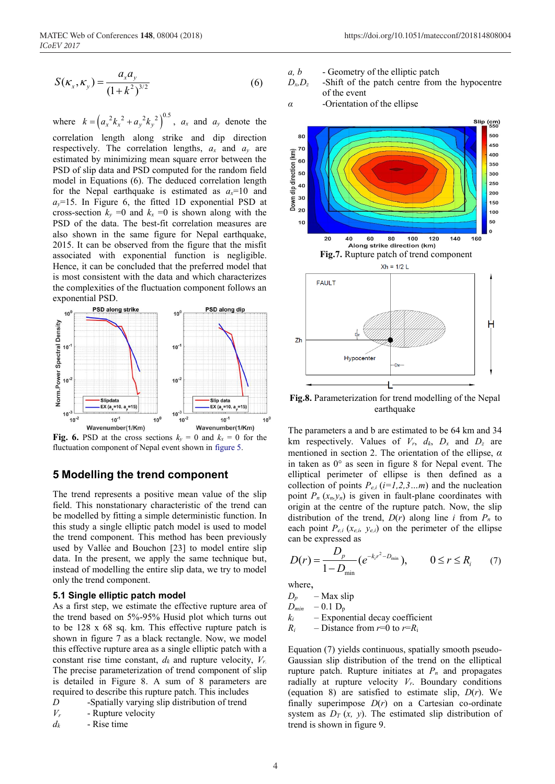$$
S(\kappa_x, \kappa_y) = \frac{a_x a_y}{(1 + k^2)^{3/2}}
$$
 (6)

where  $k = (a_x^2 k_x^2 + a_y^2 k_y^2)^{0.5}$ ,  $a_x$  and  $a_y$  denote the correlation length along strike and dip direction respectively. The correlation lengths, *ax* and *ay* are estimated by minimizing mean square error between the PSD of slip data and PSD computed for the random field model in Equations (6). The deduced correlation length for the Nepal earthquake is estimated as  $a_x=10$  and  $a<sub>v</sub>=15$ . In Figure 6, the fitted 1D exponential PSD at cross-section  $k_y = 0$  and  $k_x = 0$  is shown along with the PSD of the data. The best-fit correlation measures are also shown in the same figure for Nepal earthquake, 2015. It can be observed from the figure that the misfit associated with exponential function is negligible. Hence, it can be concluded that the preferred model that is most consistent with the data and which characterizes the complexities of the fluctuation component follows an exponential PSD.



**Fig. 6.** PSD at the cross sections  $k_y = 0$  and  $k_x = 0$  for the fluctuation component of Nepal event shown in figure 5.

### **5 Modelling the trend component**

The trend represents a positive mean value of the slip field. This nonstationary characteristic of the trend can be modelled by fitting a simple deterministic function. In this study a single elliptic patch model is used to model the trend component. This method has been previously used by Vallée and Bouchon [23] to model entire slip data. In the present, we apply the same technique but, instead of modelling the entire slip data, we try to model only the trend component.

#### **5.1 Single elliptic patch model**

As a first step, we estimate the effective rupture area of the trend based on 5%-95% Husid plot which turns out to be 128 x 68 sq. km. This effective rupture patch is shown in figure 7 as a black rectangle. Now, we model this effective rupture area as a single elliptic patch with a constant rise time constant, *dk* and rupture velocity, *Vr.* The precise parameterization of trend component of slip is detailed in Figure 8. A sum of 8 parameters are required to describe this rupture patch. This includes

- *D* -Spatially varying slip distribution of trend
- *Vr* Rupture velocity
- $d_k$  Rise time
- *a, b* Geometry of the elliptic patch
- $D_x, D_z$  -Shift of the patch centre from the hypocentre of the event

*α* -Orientation of the ellipse



**Fig.8.** Parameterization for trend modelling of the Nepal earthquake

The parameters a and b are estimated to be 64 km and 34 km respectively. Values of  $V_r$ ,  $d_k$ ,  $D_x$  and  $D_z$  are mentioned in section 2. The orientation of the ellipse, *α* in taken as 0° as seen in figure 8 for Nepal event. The elliptical perimeter of ellipse is then defined as a collection of points  $P_{e,i}$  ( $i=1,2,3...m$ ) and the nucleation point  $P_n(x_n, y_n)$  is given in fault-plane coordinates with origin at the centre of the rupture patch. Now, the slip distribution of the trend,  $D(r)$  along line *i* from  $P_n$  to each point  $P_{e,i}$  ( $x_{e,i}$ ,  $y_{e,i}$ ) on the perimeter of the ellipse can be expressed as

$$
D(r) = \frac{D_p}{1 - D_{\min}} \left( e^{-k_i r^2 - D_{\min}} \right), \qquad 0 \le r \le R_i \qquad (7)
$$

where,

 $D_p$  – Max slip  $D_{min}$  – 0.1  $D_p$  $k_i$  – Exponential decay coefficient  $R_i$  – Distance from  $r=0$  to  $r=R_i$ 

Equation (7) yields continuous, spatially smooth pseudo-Gaussian slip distribution of the trend on the elliptical rupture patch. Rupture initiates at  $P_n$  and propagates radially at rupture velocity *Vr*. Boundary conditions (equation 8) are satisfied to estimate slip, *D*(*r*). We finally superimpose  $D(r)$  on a Cartesian co-ordinate system as  $D_T(x, y)$ . The estimated slip distribution of trend is shown in figure 9.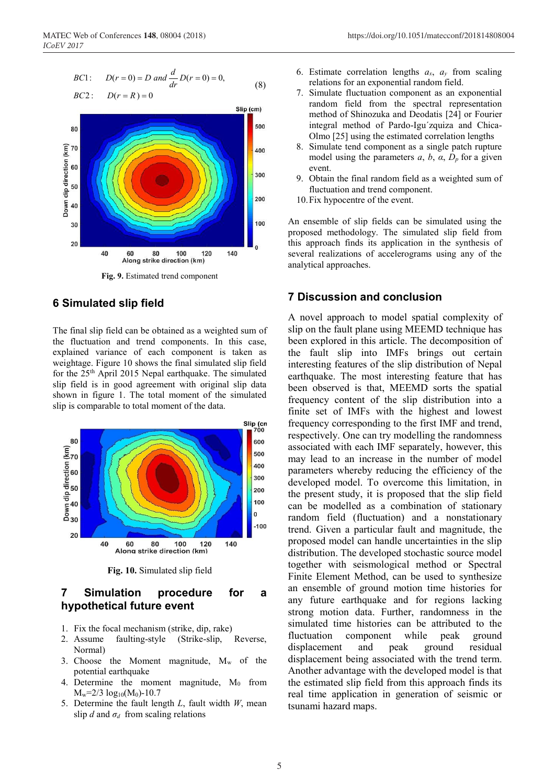BC1: 
$$
D(r = 0) = D
$$
 and  $\frac{d}{dr}D(r = 0) = 0,$  (8)



**Fig. 9.** Estimated trend component

## **6 Simulated slip field**

The final slip field can be obtained as a weighted sum of the fluctuation and trend components. In this case, explained variance of each component is taken as weightage. Figure 10 shows the final simulated slip field for the 25th April 2015 Nepal earthquake. The simulated slip field is in good agreement with original slip data shown in figure 1. The total moment of the simulated slip is comparable to total moment of the data.



Fig. 10. Simulated slip field

## **7 Simulation procedure for a hypothetical future event**

- 1. Fix the focal mechanism (strike, dip, rake)
- 2. Assume faulting-style (Strike-slip, Reverse, Normal)
- 3. Choose the Moment magnitude,  $M_w$  of the potential earthquake
- 4. Determine the moment magnitude,  $M_0$  from  $M_w=2/3 \log_{10}(M_0)$ -10.7
- 5. Determine the fault length *L*, fault width *W*, mean slip *d* and  $\sigma_d$  from scaling relations
- 6. Estimate correlation lengths  $a_x$ ,  $a_y$  from scaling relations for an exponential random field.
- 7. Simulate fluctuation component as an exponential random field from the spectral representation method of Shinozuka and Deodatis [24] or Fourier integral method of Pardo-Igu´zquiza and Chica-Olmo [25] using the estimated correlation lengths
- 8. Simulate tend component as a single patch rupture model using the parameters *a*, *b*, *α*, *Dp* for a given event.
- 9. Obtain the final random field as a weighted sum of fluctuation and trend component.
- 10.Fix hypocentre of the event.

An ensemble of slip fields can be simulated using the proposed methodology. The simulated slip field from this approach finds its application in the synthesis of several realizations of accelerograms using any of the analytical approaches.

## **7 Discussion and conclusion**

A novel approach to model spatial complexity of slip on the fault plane using MEEMD technique has been explored in this article. The decomposition of the fault slip into IMFs brings out certain interesting features of the slip distribution of Nepal earthquake. The most interesting feature that has been observed is that, MEEMD sorts the spatial frequency content of the slip distribution into a finite set of IMFs with the highest and lowest frequency corresponding to the first IMF and trend, respectively. One can try modelling the randomness associated with each IMF separately, however, this may lead to an increase in the number of model parameters whereby reducing the efficiency of the developed model. To overcome this limitation, in the present study, it is proposed that the slip field can be modelled as a combination of stationary random field (fluctuation) and a nonstationary trend. Given a particular fault and magnitude, the proposed model can handle uncertainties in the slip distribution. The developed stochastic source model together with seismological method or Spectral Finite Element Method, can be used to synthesize an ensemble of ground motion time histories for any future earthquake and for regions lacking strong motion data. Further, randomness in the simulated time histories can be attributed to the fluctuation component while peak ground displacement and peak ground residual displacement being associated with the trend term. Another advantage with the developed model is that the estimated slip field from this approach finds its real time application in generation of seismic or tsunami hazard maps.